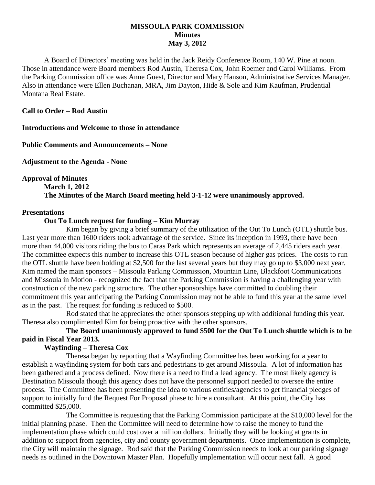#### **MISSOULA PARK COMMISSION Minutes May 3, 2012**

A Board of Directors' meeting was held in the Jack Reidy Conference Room, 140 W. Pine at noon. Those in attendance were Board members Rod Austin, Theresa Cox, John Roemer and Carol Williams. From the Parking Commission office was Anne Guest, Director and Mary Hanson, Administrative Services Manager. Also in attendance were Ellen Buchanan, MRA, Jim Dayton, Hide & Sole and Kim Kaufman, Prudential Montana Real Estate.

#### **Call to Order – Rod Austin**

**Introductions and Welcome to those in attendance**

**Public Comments and Announcements – None**

**Adjustment to the Agenda - None**

**Approval of Minutes**

# **March 1, 2012 The Minutes of the March Board meeting held 3-1-12 were unanimously approved.**

#### **Presentations**

#### **Out To Lunch request for funding – Kim Murray**

Kim began by giving a brief summary of the utilization of the Out To Lunch (OTL) shuttle bus. Last year more than 1600 riders took advantage of the service. Since its inception in 1993, there have been more than 44,000 visitors riding the bus to Caras Park which represents an average of 2,445 riders each year. The committee expects this number to increase this OTL season because of higher gas prices. The costs to run the OTL shuttle have been holding at \$2,500 for the last several years but they may go up to \$3,000 next year. Kim named the main sponsors – Missoula Parking Commission, Mountain Line, Blackfoot Communications and Missoula in Motion - recognized the fact that the Parking Commission is having a challenging year with construction of the new parking structure. The other sponsorships have committed to doubling their commitment this year anticipating the Parking Commission may not be able to fund this year at the same level as in the past. The request for funding is reduced to \$500.

Rod stated that he appreciates the other sponsors stepping up with additional funding this year. Theresa also complimented Kim for being proactive with the other sponsors.

# **The Board unanimously approved to fund \$500 for the Out To Lunch shuttle which is to be paid in Fiscal Year 2013.**

# **Wayfinding – Theresa Cox**

Theresa began by reporting that a Wayfinding Committee has been working for a year to establish a wayfinding system for both cars and pedestrians to get around Missoula. A lot of information has been gathered and a process defined. Now there is a need to find a lead agency. The most likely agency is Destination Missoula though this agency does not have the personnel support needed to oversee the entire process. The Committee has been presenting the idea to various entities/agencies to get financial pledges of support to initially fund the Request For Proposal phase to hire a consultant. At this point, the City has committed \$25,000.

The Committee is requesting that the Parking Commission participate at the \$10,000 level for the initial planning phase. Then the Committee will need to determine how to raise the money to fund the implementation phase which could cost over a million dollars. Initially they will be looking at grants in addition to support from agencies, city and county government departments. Once implementation is complete, the City will maintain the signage. Rod said that the Parking Commission needs to look at our parking signage needs as outlined in the Downtown Master Plan. Hopefully implementation will occur next fall. A good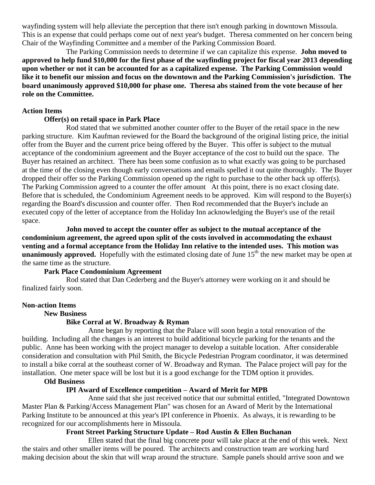wayfinding system will help alleviate the perception that there isn't enough parking in downtown Missoula. This is an expense that could perhaps come out of next year's budget. Theresa commented on her concern being Chair of the Wayfinding Committee and a member of the Parking Commission Board.

The Parking Commission needs to determine if we can capitalize this expense. **John moved to approved to help fund \$10,000 for the first phase of the wayfinding project for fiscal year 2013 depending upon whether or not it can be accounted for as a capitalized expense. The Parking Commission would like it to benefit our mission and focus on the downtown and the Parking Commission's jurisdiction. The board unanimously approved \$10,000 for phase one. Theresa abs stained from the vote because of her role on the Committee.**

### **Action Items**

### **Offer(s) on retail space in Park Place**

Rod stated that we submitted another counter offer to the Buyer of the retail space in the new parking structure. Kim Kaufman reviewed for the Board the background of the original listing price, the initial offer from the Buyer and the current price being offered by the Buyer. This offer is subject to the mutual acceptance of the condominium agreement and the Buyer acceptance of the cost to build out the space. The Buyer has retained an architect. There has been some confusion as to what exactly was going to be purchased at the time of the closing even though early conversations and emails spelled it out quite thoroughly. The Buyer dropped their offer so the Parking Commission opened up the right to purchase to the other back up offer(s). The Parking Commission agreed to a counter the offer amount At this point, there is no exact closing date. Before that is scheduled, the Condominium Agreement needs to be approved. Kim will respond to the Buyer(s) regarding the Board's discussion and counter offer. Then Rod recommended that the Buyer's include an executed copy of the letter of acceptance from the Holiday Inn acknowledging the Buyer's use of the retail space.

**John moved to accept the counter offer as subject to the mutual acceptance of the condominium agreement, the agreed upon split of the costs involved in accommodating the exhaust venting and a formal acceptance from the Holiday Inn relative to the intended uses. This motion was unanimously approved.** Hopefully with the estimated closing date of June  $15<sup>th</sup>$  the new market may be open at the same time as the structure.

#### **Park Place Condominium Agreement**

Rod stated that Dan Cederberg and the Buyer's attorney were working on it and should be finalized fairly soon.

#### **Non-action Items**

### **New Business**

#### **Bike Corral at W. Broadway & Ryman**

Anne began by reporting that the Palace will soon begin a total renovation of the building. Including all the changes is an interest to build additional bicycle parking for the tenants and the public. Anne has been working with the project manager to develop a suitable location. After considerable consideration and consultation with Phil Smith, the Bicycle Pedestrian Program coordinator, it was determined to install a bike corral at the southeast corner of W. Broadway and Ryman. The Palace project will pay for the installation. One meter space will be lost but it is a good exchange for the TDM option it provides.

#### **Old Business**

# **IPI Award of Excellence competition – Award of Merit for MPB**

Anne said that she just received notice that our submittal entitled, "Integrated Downtown Master Plan & Parking/Access Management Plan" was chosen for an Award of Merit by the International Parking Institute to be announced at this year's IPI conference in Phoenix. As always, it is rewarding to be recognized for our accomplishments here in Missoula.

#### **Front Street Parking Structure Update – Rod Austin & Ellen Buchanan**

Ellen stated that the final big concrete pour will take place at the end of this week. Next the stairs and other smaller items will be poured. The architects and construction team are working hard making decision about the skin that will wrap around the structure. Sample panels should arrive soon and we